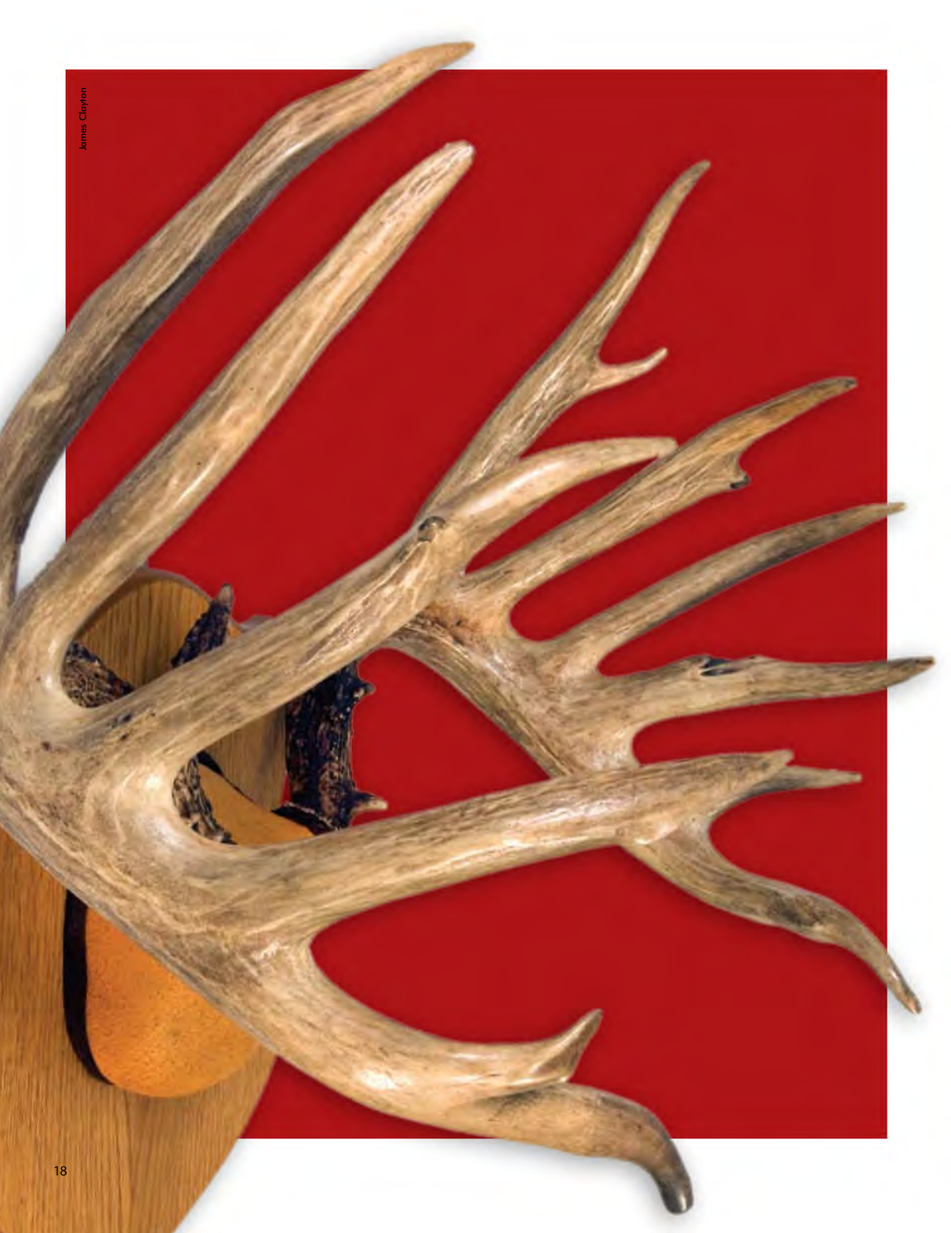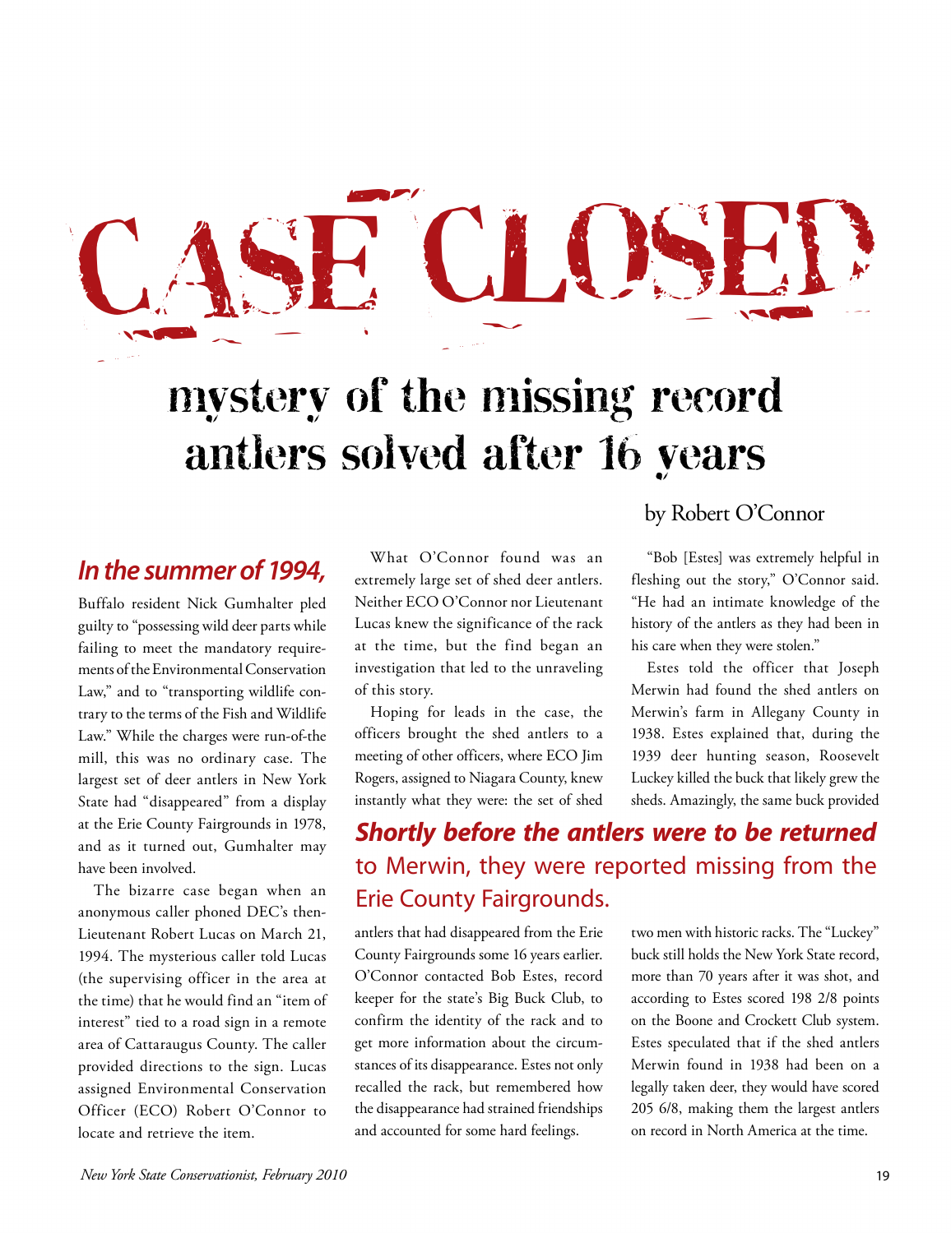# CASE CLOSED –  $\sim$  $\sim$

## mystery of the missing record antlers solved after 16 years

### *In the summer of 1994,*

 Buffalo resident Nick Gumhalter pled guilty to "possessing wild deer parts while trary to the terms of the Fish and Wildlife mill, this was no ordinary case. The State had "disappeared" from a display and as it turned out, Gumhalter may failing to meet the mandatory requirements of the Environmental Conservation Law," and to "transporting wildlife con-Law." While the charges were run-of-the largest set of deer antlers in New York at the Erie County Fairgrounds in 1978, have been involved.

 The bizarre case began when an anonymous caller phoned DEC's then- Lieutenant Robert Lucas on March 21, 1994. The mysterious caller told Lucas the time) that he would find an "item of interest" tied to a road sign in a remote area of Cattaraugus County. The caller provided directions to the sign. Lucas (the supervising officer in the area at assigned Environmental Conservation Officer (ECO) Robert O'Connor to locate and retrieve the item.

 extremely large set of shed deer antlers. Neither ECO O'Connor nor Lieutenant at the time, but the find began an investigation that led to the unraveling of this story. What O'Connor found was an Lucas knew the significance of the rack

Hoping for leads in the case, the officers brought the shed antlers to a meeting of other officers, where ECO Jim Rogers, assigned to Niagara County, knew instantly what they were: the set of shed

#### by Robert O'Connor

 fleshing out the story," O'Connor said. "He had an intimate knowledge of the "Bob [Estes] was extremely helpful in history of the antlers as they had been in his care when they were stolen."

Estes told the officer that Joseph Merwin had found the shed antlers on Merwin's farm in Allegany County in 1938. Estes explained that, during the 1939 deer hunting season, Roosevelt Luckey killed the buck that likely grew the sheds. Amazingly, the same buck provided

## to Merwin, they were reported missing from the *Shortly before the antlers were to be returned*  Erie County Fairgrounds.

 O'Connor contacted Bob Estes, record confirm the identity of the rack and to the disappearance had strained friendships antlers that had disappeared from the Erie County Fairgrounds some 16 years earlier. keeper for the state's Big Buck Club, to get more information about the circumstances of its disappearance. Estes not only recalled the rack, but remembered how and accounted for some hard feelings.

 according to Estes scored 198 2/8 points two men with historic racks. The "Luckey" buck still holds the New York State record, more than 70 years after it was shot, and on the Boone and Crockett Club system. Estes speculated that if the shed antlers Merwin found in 1938 had been on a legally taken deer, they would have scored 205 6/8, making them the largest antlers on record in North America at the time.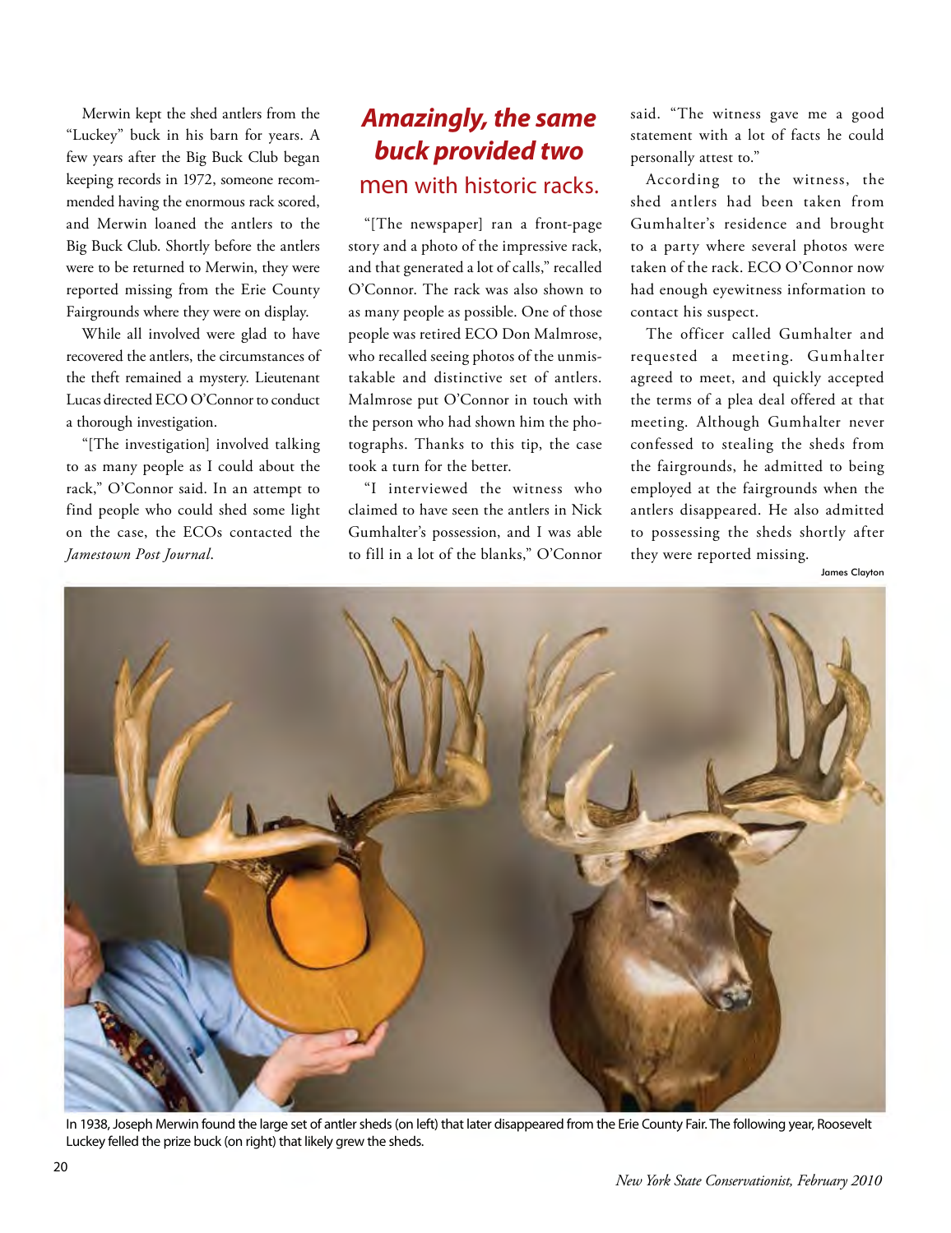"Luckey" buck in his barn for years. A and Merwin loaned the antlers to the Big Buck Club. Shortly before the antlers were to be returned to Merwin, they were Merwin kept the shed antlers from the few years after the Big Buck Club began keeping records in 1972, someone recommended having the enormous rack scored, reported missing from the Erie County Fairgrounds where they were on display.

 While all involved were glad to have recovered the antlers, the circumstances of the theft remained a mystery. Lieutenant Lucas directed ECO O'Connor to conduct a thorough investigation.

 to as many people as I could about the rack," O'Connor said. In an attempt to on the case, the ECOs contacted the  *Jamestown Post Journal*. "[The investigation] involved talking find people who could shed some light

#### *Amazingly, the same buck provided two*  men with historic racks.

 "[The newspaper] ran a front-page story and a photo of the impressive rack, O'Connor. The rack was also shown to as many people as possible. One of those people was retired ECO Don Malmrose, takable and distinctive set of antlers. Malmrose put O'Connor in touch with tographs. Thanks to this tip, the case and that generated a lot of calls," recalled who recalled seeing photos of the unmisthe person who had shown him the photook a turn for the better.

 "I interviewed the witness who claimed to have seen the antlers in Nick Gumhalter's possession, and I was able to fill in a lot of the blanks," O'Connor  said. "The witness gave me a good statement with a lot of facts he could personally attest to."

 contact his suspect. According to the witness, the shed antlers had been taken from Gumhalter's residence and brought to a party where several photos were taken of the rack. ECO O'Connor now had enough eyewitness information to

 The officer called Gumhalter and requested a meeting. Gumhalter agreed to meet, and quickly accepted the terms of a plea deal offered at that confessed to stealing the sheds from the fairgrounds, he admitted to being employed at the fairgrounds when the antlers disappeared. He also admitted to possessing the sheds shortly after meeting. Although Gumhalter never they were reported missing.

James Clayton



In 1938, Joseph Merwin found the large set of antler sheds (on left) that later disappeared from the Erie County Fair. The following year, Roosevelt Luckey felled the prize buck (on right) that likely grew the sheds.